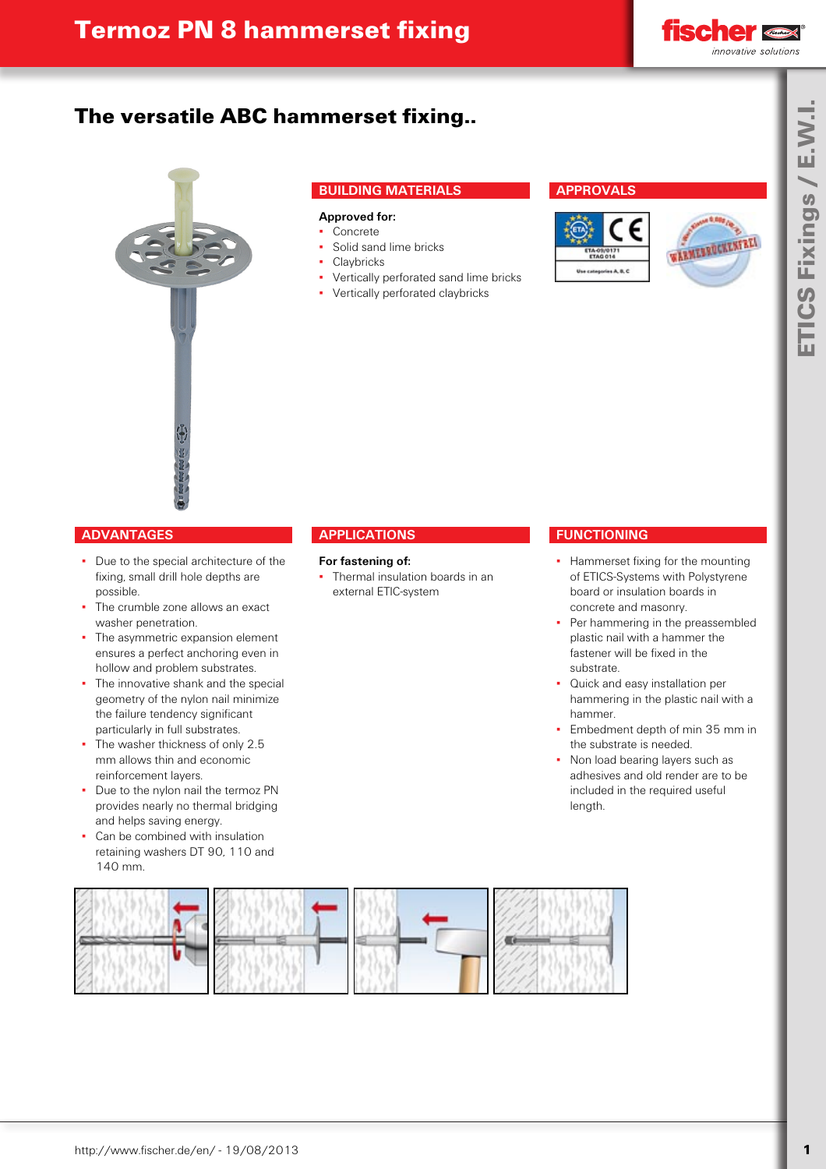

# The versatile ABC hammerset fixing..



### **BUILDING MATERIALS**

#### **Approved for:**

- **Concrete** Solid sand lime bricks
- 
- **Claybricks**
- Vertically perforated sand lime bricks
- Vertically perforated claybricks

### **APPROVALS**





### **ADVANTAGES**

- Due to the special architecture of the fixing, small drill hole depths are possible.
- The crumble zone allows an exact washer penetration. ▪
- The asymmetric expansion element ensures a perfect anchoring even in hollow and problem substrates. ▪
- The innovative shank and the special geometry of the nylon nail minimize the failure tendency significant particularly in full substrates. ▪
- The washer thickness of only 2.5 mm allows thin and economic reinforcement layers. ▪
- Due to the nylon nail the termoz PN provides nearly no thermal bridging and helps saving energy.
- Can be combined with insulation retaining washers DT 90, 110 and 140 mm. ▪

### **APPLICATIONS**

#### **For fastening of:**

• Thermal insulation boards in an external ETIC-system

#### **FUNCTIONING**

- **Hammerset fixing for the mounting** of ETICS-Systems with Polystyrene board or insulation boards in concrete and masonry.
- Per hammering in the preassembled plastic nail with a hammer the fastener will be fixed in the substrate. ▪
- Quick and easy installation per hammering in the plastic nail with a hammer. ▪
- Embedment depth of min 35 mm in the substrate is needed. ▪
- Non load bearing layers such as adhesives and old render are to be included in the required useful length. ▪